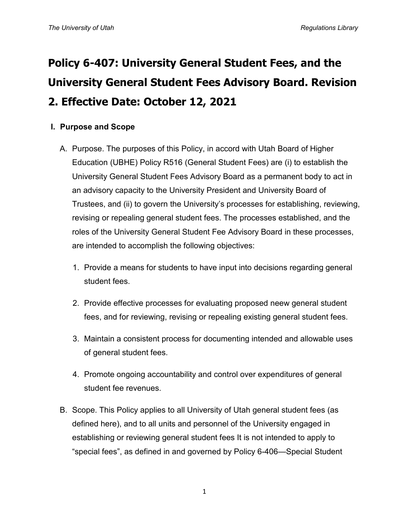# **Policy 6-407: University General Student Fees, and the University General Student Fees Advisory Board. Revision 2. Effective Date: October 12, 2021**

## **I. Purpose and Scope**

- A. Purpose. The purposes of this Policy, in accord with Utah Board of Higher Education (UBHE) Policy R516 (General Student Fees) are (i) to establish the University General Student Fees Advisory Board as a permanent body to act in an advisory capacity to the University President and University Board of Trustees, and (ii) to govern the University's processes for establishing, reviewing, revising or repealing general student fees. The processes established, and the roles of the University General Student Fee Advisory Board in these processes, are intended to accomplish the following objectives:
	- 1. Provide a means for students to have input into decisions regarding general student fees.
	- 2. Provide effective processes for evaluating proposed neew general student fees, and for reviewing, revising or repealing existing general student fees.
	- 3. Maintain a consistent process for documenting intended and allowable uses of general student fees.
	- 4. Promote ongoing accountability and control over expenditures of general student fee revenues.
- B. Scope. This Policy applies to all University of Utah general student fees (as defined here), and to all units and personnel of the University engaged in establishing or reviewing general student fees It is not intended to apply to "special fees", as defined in and governed by Policy 6-406—Special Student

1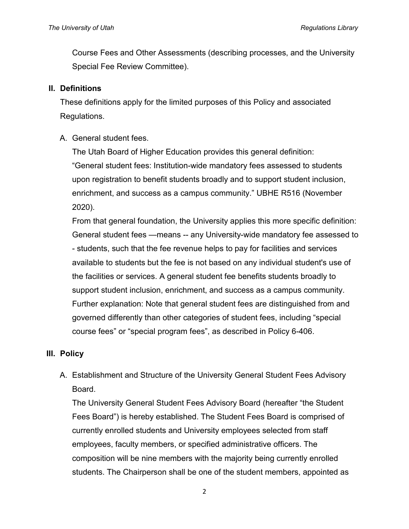Course Fees and Other Assessments (describing processes, and the University Special Fee Review Committee).

#### **II. Definitions**

These definitions apply for the limited purposes of this Policy and associated Regulations.

A. General student fees.

The Utah Board of Higher Education provides this general definition: "General student fees: Institution-wide mandatory fees assessed to students upon registration to benefit students broadly and to support student inclusion, enrichment, and success as a campus community." UBHE R516 (November 2020).

From that general foundation, the University applies this more specific definition: General student fees —means -- any University-wide mandatory fee assessed to - students, such that the fee revenue helps to pay for facilities and services available to students but the fee is not based on any individual student's use of the facilities or services. A general student fee benefits students broadly to support student inclusion, enrichment, and success as a campus community. Further explanation: Note that general student fees are distinguished from and governed differently than other categories of student fees, including "special course fees" or "special program fees", as described in Policy 6-406.

## **III. Policy**

A. Establishment and Structure of the University General Student Fees Advisory Board.

The University General Student Fees Advisory Board (hereafter "the Student Fees Board") is hereby established. The Student Fees Board is comprised of currently enrolled students and University employees selected from staff employees, faculty members, or specified administrative officers. The composition will be nine members with the majority being currently enrolled students. The Chairperson shall be one of the student members, appointed as

2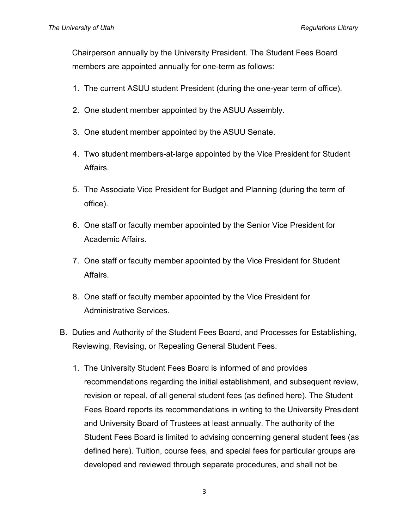Chairperson annually by the University President. The Student Fees Board members are appointed annually for one-term as follows:

- 1. The current ASUU student President (during the one-year term of office).
- 2. One student member appointed by the ASUU Assembly.
- 3. One student member appointed by the ASUU Senate.
- 4. Two student members-at-large appointed by the Vice President for Student Affairs.
- 5. The Associate Vice President for Budget and Planning (during the term of office).
- 6. One staff or faculty member appointed by the Senior Vice President for Academic Affairs.
- 7. One staff or faculty member appointed by the Vice President for Student Affairs.
- 8. One staff or faculty member appointed by the Vice President for Administrative Services.
- B. Duties and Authority of the Student Fees Board, and Processes for Establishing, Reviewing, Revising, or Repealing General Student Fees.
	- 1. The University Student Fees Board is informed of and provides recommendations regarding the initial establishment, and subsequent review, revision or repeal, of all general student fees (as defined here). The Student Fees Board reports its recommendations in writing to the University President and University Board of Trustees at least annually. The authority of the Student Fees Board is limited to advising concerning general student fees (as defined here). Tuition, course fees, and special fees for particular groups are developed and reviewed through separate procedures, and shall not be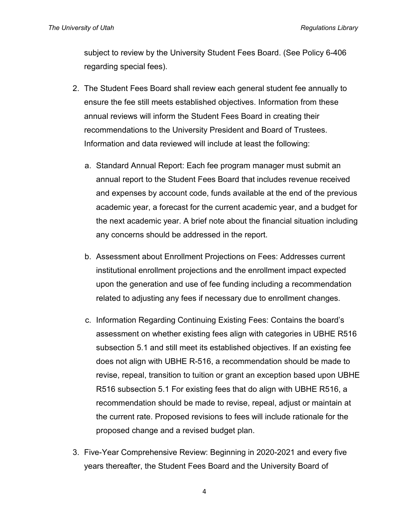subject to review by the University Student Fees Board. (See Policy 6-406 regarding special fees).

- 2. The Student Fees Board shall review each general student fee annually to ensure the fee still meets established objectives. Information from these annual reviews will inform the Student Fees Board in creating their recommendations to the University President and Board of Trustees. Information and data reviewed will include at least the following:
	- a. Standard Annual Report: Each fee program manager must submit an annual report to the Student Fees Board that includes revenue received and expenses by account code, funds available at the end of the previous academic year, a forecast for the current academic year, and a budget for the next academic year. A brief note about the financial situation including any concerns should be addressed in the report.
	- b. Assessment about Enrollment Projections on Fees: Addresses current institutional enrollment projections and the enrollment impact expected upon the generation and use of fee funding including a recommendation related to adjusting any fees if necessary due to enrollment changes.
	- c. Information Regarding Continuing Existing Fees: Contains the board's assessment on whether existing fees align with categories in UBHE R516 subsection 5.1 and still meet its established objectives. If an existing fee does not align with UBHE R-516, a recommendation should be made to revise, repeal, transition to tuition or grant an exception based upon UBHE R516 subsection 5.1 For existing fees that do align with UBHE R516, a recommendation should be made to revise, repeal, adjust or maintain at the current rate. Proposed revisions to fees will include rationale for the proposed change and a revised budget plan.
- 3. Five-Year Comprehensive Review: Beginning in 2020-2021 and every five years thereafter, the Student Fees Board and the University Board of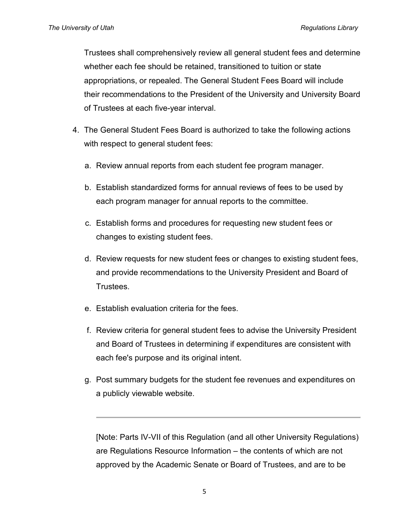Trustees shall comprehensively review all general student fees and determine whether each fee should be retained, transitioned to tuition or state appropriations, or repealed. The General Student Fees Board will include their recommendations to the President of the University and University Board of Trustees at each five-year interval.

- 4. The General Student Fees Board is authorized to take the following actions with respect to general student fees:
	- a. Review annual reports from each student fee program manager.
	- b. Establish standardized forms for annual reviews of fees to be used by each program manager for annual reports to the committee.
	- c. Establish forms and procedures for requesting new student fees or changes to existing student fees.
	- d. Review requests for new student fees or changes to existing student fees, and provide recommendations to the University President and Board of Trustees.
	- e. Establish evaluation criteria for the fees.
	- f. Review criteria for general student fees to advise the University President and Board of Trustees in determining if expenditures are consistent with each fee's purpose and its original intent.
	- g. Post summary budgets for the student fee revenues and expenditures on a publicly viewable website.

[Note: Parts IV-VII of this Regulation (and all other University Regulations) are Regulations Resource Information – the contents of which are not approved by the Academic Senate or Board of Trustees, and are to be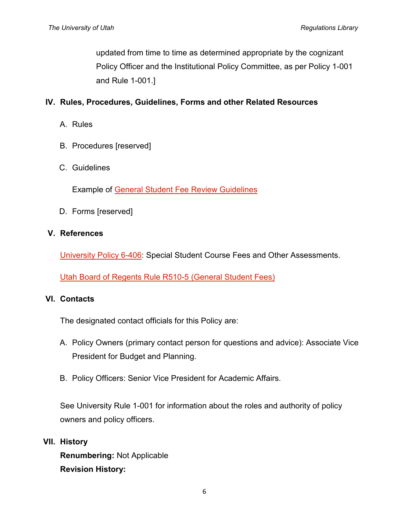updated from time to time as determined appropriate by the cognizant Policy Officer and the Institutional Policy Committee, as per Policy 1-001 and Rule 1-001.]

## **IV. Rules, Procedures, Guidelines, Forms and other Related Resources**

A. Rules

B. Procedures [reserved]

### C. Guidelines

Example of [General Student Fee Review Guidelines](http://regulations.utah.edu/academics/guidelines/6-407_Example-guidelines.pdf)

D. Forms [reserved]

#### **V. References**

[University Policy 6-406:](http://regulations.utah.edu/academics/6-406.php) Special Student Course Fees and Other Assessments.

[Utah Board of Regents Rule R510-5 \(General Student Fees\)](https://ushe.edu/ushe-policies/r516-general-student-fees/)

#### **VI. Contacts**

The designated contact officials for this Policy are:

- A. Policy Owners (primary contact person for questions and advice): Associate Vice President for Budget and Planning.
- B. Policy Officers: Senior Vice President for Academic Affairs.

See University Rule 1-001 for information about the roles and authority of policy owners and policy officers.

**VII. History**

**Renumbering:** Not Applicable **Revision History:**